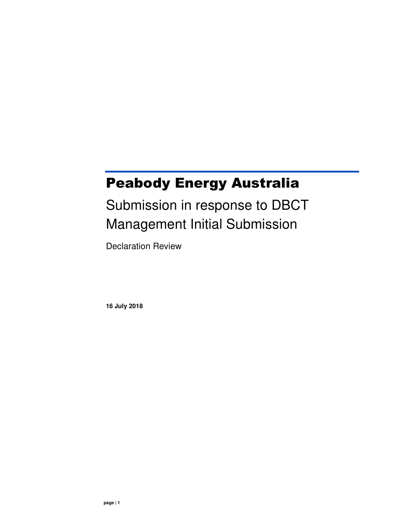## Peabody Energy Australia

# Submission in response to DBCT Management Initial Submission

Declaration Review

**16 July 2018**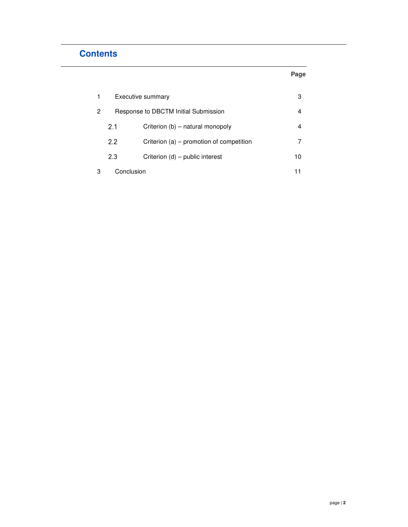## **Contents**

| 1 | Executive summary                    |                                          | з  |
|---|--------------------------------------|------------------------------------------|----|
| 2 | Response to DBCTM Initial Submission |                                          | 4  |
|   | 2.1                                  | Criterion (b) – natural monopoly         | 4  |
|   | 2.2                                  | Criterion (a) – promotion of competition |    |
|   | 2.3                                  | Criterion (d) – public interest          | 10 |
| 3 | Conclusion                           |                                          |    |

**Page**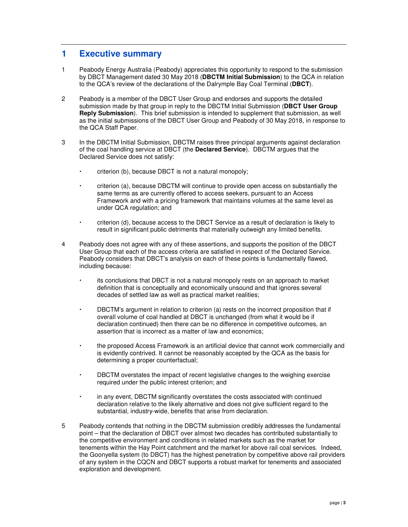### **1 Executive summary**

- 1 Peabody Energy Australia (Peabody) appreciates this opportunity to respond to the submission by DBCT Management dated 30 May 2018 (**DBCTM Initial Submission**) to the QCA in relation to the QCA's review of the declarations of the Dalrymple Bay Coal Terminal (**DBCT**).
- 2 Peabody is a member of the DBCT User Group and endorses and supports the detailed submission made by that group in reply to the DBCTM Initial Submission (**DBCT User Group Reply Submission**). This brief submission is intended to supplement that submission, as well as the initial submissions of the DBCT User Group and Peabody of 30 May 2018, in response to the QCA Staff Paper.
- 3 In the DBCTM Initial Submission, DBCTM raises three principal arguments against declaration of the coal handling service at DBCT (the **Declared Service**). DBCTM argues that the Declared Service does not satisfy:
	- criterion (b), because DBCT is not a natural monopoly;
	- criterion (a), because DBCTM will continue to provide open access on substantially the same terms as are currently offered to access seekers, pursuant to an Access Framework and with a pricing framework that maintains volumes at the same level as under QCA regulation; and
	- criterion (d), because access to the DBCT Service as a result of declaration is likely to result in significant public detriments that materially outweigh any limited benefits.
- 4 Peabody does not agree with any of these assertions, and supports the position of the DBCT User Group that each of the access criteria are satisfied in respect of the Declared Service. Peabody considers that DBCT's analysis on each of these points is fundamentally flawed, including because:
	- its conclusions that DBCT is not a natural monopoly rests on an approach to market definition that is conceptually and economically unsound and that ignores several decades of settled law as well as practical market realities;
	- DBCTM's argument in relation to criterion (a) rests on the incorrect proposition that if overall volume of coal handled at DBCT is unchanged (from what it would be if declaration continued) then there can be no difference in competitive outcomes, an assertion that is incorrect as a matter of law and economics;
	- the proposed Access Framework is an artificial device that cannot work commercially and is evidently contrived. It cannot be reasonably accepted by the QCA as the basis for determining a proper counterfactual;
	- DBCTM overstates the impact of recent legislative changes to the weighing exercise required under the public interest criterion; and
	- in any event, DBCTM significantly overstates the costs associated with continued declaration relative to the likely alternative and does not give sufficient regard to the substantial, industry-wide, benefits that arise from declaration.
- 5 Peabody contends that nothing in the DBCTM submission credibly addresses the fundamental point – that the declaration of DBCT over almost two decades has contributed substantially to the competitive environment and conditions in related markets such as the market for tenements within the Hay Point catchment and the market for above rail coal services. Indeed, the Goonyella system (to DBCT) has the highest penetration by competitive above rail providers of any system in the CQCN and DBCT supports a robust market for tenements and associated exploration and development.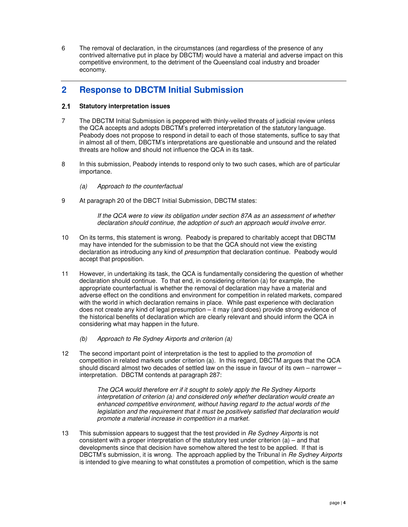6 The removal of declaration, in the circumstances (and regardless of the presence of any contrived alternative put in place by DBCTM) would have a material and adverse impact on this competitive environment, to the detriment of the Queensland coal industry and broader economy.

## **2 Response to DBCTM Initial Submission**

#### **Statutory interpretation issues**

- 7 The DBCTM Initial Submission is peppered with thinly-veiled threats of judicial review unless the QCA accepts and adopts DBCTM's preferred interpretation of the statutory language. Peabody does not propose to respond in detail to each of those statements, suffice to say that in almost all of them, DBCTM's interpretations are questionable and unsound and the related threats are hollow and should not influence the QCA in its task.
- 8 In this submission, Peabody intends to respond only to two such cases, which are of particular importance.
	- (a) Approach to the counterfactual
- 9 At paragraph 20 of the DBCT Initial Submission, DBCTM states:

If the QCA were to view its obligation under section 87A as an assessment of whether declaration should continue, the adoption of such an approach would involve error.

- 10 On its terms, this statement is wrong. Peabody is prepared to charitably accept that DBCTM may have intended for the submission to be that the QCA should not view the existing declaration as introducing any kind of presumption that declaration continue. Peabody would accept that proposition.
- 11 However, in undertaking its task, the QCA is fundamentally considering the question of whether declaration should continue. To that end, in considering criterion (a) for example, the appropriate counterfactual is whether the removal of declaration may have a material and adverse effect on the conditions and environment for competition in related markets, compared with the world in which declaration remains in place. While past experience with declaration does not create any kind of legal presumption – it may (and does) provide strong evidence of the historical benefits of declaration which are clearly relevant and should inform the QCA in considering what may happen in the future.
	- (b) Approach to Re Sydney Airports and criterion (a)
- 12 The second important point of interpretation is the test to applied to the *promotion* of competition in related markets under criterion (a). In this regard, DBCTM argues that the QCA should discard almost two decades of settled law on the issue in favour of its own – narrower – interpretation. DBCTM contends at paragraph 287:

The QCA would therefore err if it sought to solely apply the Re Sydney Airports interpretation of criterion (a) and considered only whether declaration would create an enhanced competitive environment, without having regard to the actual words of the legislation and the requirement that it must be positively satisfied that declaration would promote a material increase in competition in a market.

13 This submission appears to suggest that the test provided in Re Sydney Airports is not consistent with a proper interpretation of the statutory test under criterion (a) – and that developments since that decision have somehow altered the test to be applied. If that is DBCTM's submission, it is wrong. The approach applied by the Tribunal in Re Sydney Airports is intended to give meaning to what constitutes a promotion of competition, which is the same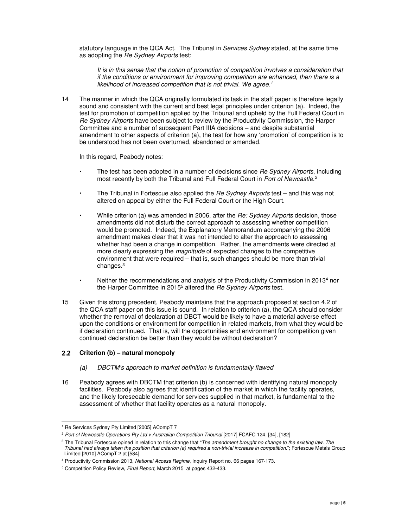statutory language in the QCA Act. The Tribunal in Services Sydney stated, at the same time as adopting the Re Sydney Airports test:

It is in this sense that the notion of promotion of competition involves a consideration that if the conditions or environment for improving competition are enhanced, then there is a likelihood of increased competition that is not trivial. We agree.<sup>1</sup>

14 The manner in which the QCA originally formulated its task in the staff paper is therefore legally sound and consistent with the current and best legal principles under criterion (a). Indeed, the test for promotion of competition applied by the Tribunal and upheld by the Full Federal Court in Re Sydney Airports have been subject to review by the Productivity Commission, the Harper Committee and a number of subsequent Part IIIA decisions – and despite substantial amendment to other aspects of criterion (a), the test for how any 'promotion' of competition is to be understood has not been overturned, abandoned or amended.

In this regard, Peabody notes:

- The test has been adopted in a number of decisions since Re Sydney Airports, including most recently by both the Tribunal and Full Federal Court in Port of Newcastle.<sup>2</sup>
- The Tribunal in Fortescue also applied the Re Sydney Airports test and this was not altered on appeal by either the Full Federal Court or the High Court.
- While criterion (a) was amended in 2006, after the Re: Sydney Airports decision, those amendments did not disturb the correct approach to assessing whether competition would be promoted. Indeed, the Explanatory Memorandum accompanying the 2006 amendment makes clear that it was not intended to alter the approach to assessing whether had been a change in competition. Rather, the amendments were directed at more clearly expressing the *magnitude* of expected changes to the competitive environment that were required – that is, such changes should be more than trivial changes.<sup>3</sup>
- Neither the recommendations and analysis of the Productivity Commission in 2013<sup>4</sup> nor the Harper Committee in 2015<sup>5</sup> altered the Re Sydney Airports test.
- 15 Given this strong precedent, Peabody maintains that the approach proposed at section 4.2 of the QCA staff paper on this issue is sound. In relation to criterion (a), the QCA should consider whether the removal of declaration at DBCT would be likely to have a material adverse effect upon the conditions or environment for competition in related markets, from what they would be if declaration continued. That is, will the opportunities and environment for competition given continued declaration be better than they would be without declaration?

#### **Criterion (b) – natural monopoly**

- (a) DBCTM's approach to market definition is fundamentally flawed
- 16 Peabody agrees with DBCTM that criterion (b) is concerned with identifying natural monopoly facilities. Peabody also agrees that identification of the market in which the facility operates, and the likely foreseeable demand for services supplied in that market, is fundamental to the assessment of whether that facility operates as a natural monopoly.

 1 Re Services Sydney Pty Limited [2005] ACompT 7

<sup>&</sup>lt;sup>2</sup> Port of Newcastle Operations Pty Ltd v Australian Competition Tribunal [2017] FCAFC 124, [34], [182]

<sup>&</sup>lt;sup>3</sup> The Tribunal Fortescue opined in relation to this change that "*The amendment brought no change to the existing law. The* Tribunal had always taken the position that criterion (a) required a non-trivial increase in competition."; Fortescue Metals Group Limited [2010] ACompT 2 at [584]

<sup>&</sup>lt;sup>4</sup> Productivity Commission 2013, National Access Regime, Inquiry Report no. 66 pages 167-173.

<sup>&</sup>lt;sup>5</sup> Competition Policy Review, Final Report, March 2015 at pages 432-433.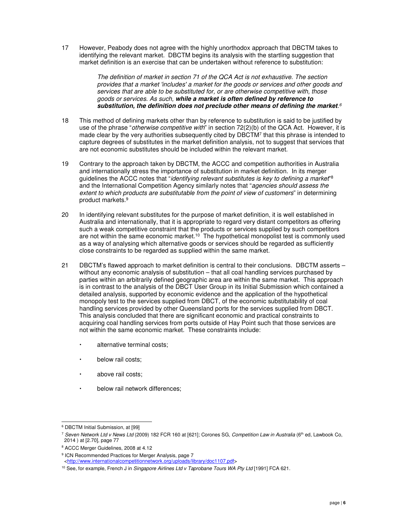17 However, Peabody does not agree with the highly unorthodox approach that DBCTM takes to identifying the relevant market. DBCTM begins its analysis with the startling suggestion that market definition is an exercise that can be undertaken without reference to substitution:

> The definition of market in section 71 of the QCA Act is not exhaustive. The section provides that a market 'includes' a market for the goods or services and other goods and services that are able to be substituted for, or are otherwise competitive with, those goods or services. As such, **while a market is often defined by reference to substitution, the definition does not preclude other means of defining the market**. 6

- 18 This method of defining markets other than by reference to substitution is said to be justified by use of the phrase "*otherwise competitive with*" in section 72(2)(b) of the QCA Act. However, it is made clear by the very authorities subsequently cited by DBCTM<sup>7</sup> that this phrase is intended to capture degrees of substitutes in the market definition analysis, not to suggest that services that are not economic substitutes should be included within the relevant market.
- 19 Contrary to the approach taken by DBCTM, the ACCC and competition authorities in Australia and internationally stress the importance of substitution in market definition. In its merger guidelines the ACCC notes that "*identifying relevant substitutes is key to defining a market*"<sup>8</sup> and the International Competition Agency similarly notes that "agencies should assess the extent to which products are substitutable from the point of view of customers" in determining product markets.<sup>9</sup>
- 20 In identifying relevant substitutes for the purpose of market definition, it is well established in Australia and internationally, that it is appropriate to regard very distant competitors as offering such a weak competitive constraint that the products or services supplied by such competitors are not within the same economic market.<sup>10</sup> The hypothetical monopolist test is commonly used as a way of analysing which alternative goods or services should be regarded as sufficiently close constraints to be regarded as supplied within the same market.
- 21 DBCTM's flawed approach to market definition is central to their conclusions. DBCTM asserts without any economic analysis of substitution – that all coal handling services purchased by parties within an arbitrarily defined geographic area are within the same market. This approach is in contrast to the analysis of the DBCT User Group in its Initial Submission which contained a detailed analysis, supported by economic evidence and the application of the hypothetical monopoly test to the services supplied from DBCT, of the economic substitutability of coal handling services provided by other Queensland ports for the services supplied from DBCT. This analysis concluded that there are significant economic and practical constraints to acquiring coal handling services from ports outside of Hay Point such that those services are not within the same economic market. These constraints include:
	- alternative terminal costs;
	- below rail costs;
	- above rail costs;
	- below rail network differences;

 6 DBCTM Initial Submission, at [99]

<sup>&</sup>lt;sup>7</sup> Seven Network Ltd v News Ltd (2009) 182 FCR 160 at [621]; Corones SG, Competition Law in Australia (6<sup>th</sup> ed, Lawbook Co, 2014 ) at [2.70], page 77

<sup>8</sup> ACCC Merger Guidelines, 2008 at 4.12

<sup>&</sup>lt;sup>9</sup> ICN Recommended Practices for Merger Analysis, page 7

<sup>&</sup>lt;http://www.internationalcompetitionnetwork.org/uploads/library/doc1107.pdf>

<sup>&</sup>lt;sup>10</sup> See, for example, French J in Singapore Airlines Ltd v Taprobane Tours WA Pty Ltd [1991] FCA 621.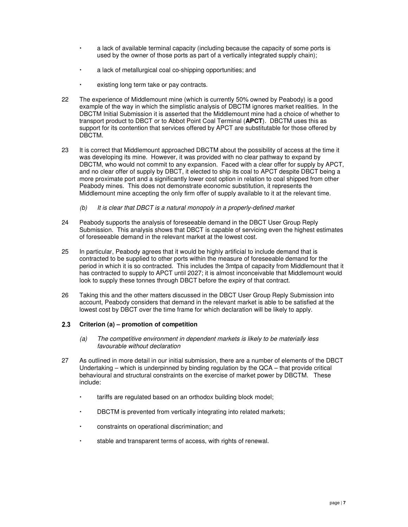- a lack of available terminal capacity (including because the capacity of some ports is used by the owner of those ports as part of a vertically integrated supply chain);
- a lack of metallurgical coal co-shipping opportunities; and
- existing long term take or pay contracts.
- 22 The experience of Middlemount mine (which is currently 50% owned by Peabody) is a good example of the way in which the simplistic analysis of DBCTM ignores market realities. In the DBCTM Initial Submission it is asserted that the Middlemount mine had a choice of whether to transport product to DBCT or to Abbot Point Coal Terminal (**APCT**). DBCTM uses this as support for its contention that services offered by APCT are substitutable for those offered by DBCTM.
- 23 It is correct that Middlemount approached DBCTM about the possibility of access at the time it was developing its mine. However, it was provided with no clear pathway to expand by DBCTM, who would not commit to any expansion. Faced with a clear offer for supply by APCT, and no clear offer of supply by DBCT, it elected to ship its coal to APCT despite DBCT being a more proximate port and a significantly lower cost option in relation to coal shipped from other Peabody mines. This does not demonstrate economic substitution, it represents the Middlemount mine accepting the only firm offer of supply available to it at the relevant time.
	- $(b)$  It is clear that DBCT is a natural monopoly in a properly-defined market
- 24 Peabody supports the analysis of foreseeable demand in the DBCT User Group Reply Submission. This analysis shows that DBCT is capable of servicing even the highest estimates of foreseeable demand in the relevant market at the lowest cost.
- 25 In particular, Peabody agrees that it would be highly artificial to include demand that is contracted to be supplied to other ports within the measure of foreseeable demand for the period in which it is so contracted. This includes the 3mtpa of capacity from Middlemount that it has contracted to supply to APCT until 2027; it is almost inconceivable that Middlemount would look to supply these tonnes through DBCT before the expiry of that contract.
- 26 Taking this and the other matters discussed in the DBCT User Group Reply Submission into account, Peabody considers that demand in the relevant market is able to be satisfied at the lowest cost by DBCT over the time frame for which declaration will be likely to apply.

#### **Criterion (a) – promotion of competition**

- (a) The competitive environment in dependent markets is likely to be materially less favourable without declaration
- 27 As outlined in more detail in our initial submission, there are a number of elements of the DBCT Undertaking – which is underpinned by binding regulation by the QCA – that provide critical behavioural and structural constraints on the exercise of market power by DBCTM. These include:
	- tariffs are regulated based on an orthodox building block model;
	- DBCTM is prevented from vertically integrating into related markets;
	- constraints on operational discrimination; and
	- stable and transparent terms of access, with rights of renewal.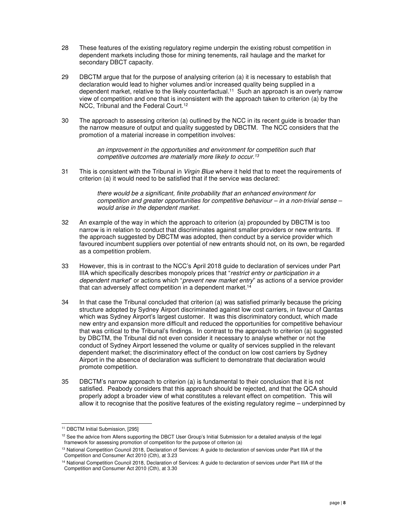- 28 These features of the existing regulatory regime underpin the existing robust competition in dependent markets including those for mining tenements, rail haulage and the market for secondary DBCT capacity.
- 29 DBCTM argue that for the purpose of analysing criterion (a) it is necessary to establish that declaration would lead to higher volumes and/or increased quality being supplied in a dependent market, relative to the likely counterfactual.<sup>11</sup> Such an approach is an overly narrow view of competition and one that is inconsistent with the approach taken to criterion (a) by the NCC, Tribunal and the Federal Court.<sup>12</sup>
- 30 The approach to assessing criterion (a) outlined by the NCC in its recent guide is broader than the narrow measure of output and quality suggested by DBCTM. The NCC considers that the promotion of a material increase in competition involves:

an improvement in the opportunities and environment for competition such that competitive outcomes are materially more likely to occur.<sup>13</sup>

31 This is consistent with the Tribunal in Virgin Blue where it held that to meet the requirements of criterion (a) it would need to be satisfied that if the service was declared:

> there would be a significant, finite probability that an enhanced environment for competition and greater opportunities for competitive behaviour – in a non-trivial sense – would arise in the dependent market.

- 32 An example of the way in which the approach to criterion (a) propounded by DBCTM is too narrow is in relation to conduct that discriminates against smaller providers or new entrants. If the approach suggested by DBCTM was adopted, then conduct by a service provider which favoured incumbent suppliers over potential of new entrants should not, on its own, be regarded as a competition problem.
- 33 However, this is in contrast to the NCC's April 2018 guide to declaration of services under Part IIIA which specifically describes monopoly prices that "restrict entry or participation in a dependent market" or actions which "prevent new market entry" as actions of a service provider that can adversely affect competition in a dependent market.<sup>14</sup>
- 34 In that case the Tribunal concluded that criterion (a) was satisfied primarily because the pricing structure adopted by Sydney Airport discriminated against low cost carriers, in favour of Qantas which was Sydney Airport's largest customer. It was this discriminatory conduct, which made new entry and expansion more difficult and reduced the opportunities for competitive behaviour that was critical to the Tribunal's findings. In contrast to the approach to criterion (a) suggested by DBCTM, the Tribunal did not even consider it necessary to analyse whether or not the conduct of Sydney Airport lessened the volume or quality of services supplied in the relevant dependent market; the discriminatory effect of the conduct on low cost carriers by Sydney Airport in the absence of declaration was sufficient to demonstrate that declaration would promote competition.
- 35 DBCTM's narrow approach to criterion (a) is fundamental to their conclusion that it is not satisfied. Peabody considers that this approach should be rejected, and that the QCA should properly adopt a broader view of what constitutes a relevant effect on competition. This will allow it to recognise that the positive features of the existing regulatory regime – underpinned by

 $\overline{a}$ 

<sup>11</sup> DBCTM Initial Submission, [295]

<sup>&</sup>lt;sup>12</sup> See the advice from Allens supporting the DBCT User Group's Initial Submission for a detailed analysis of the legal framework for assessing promotion of competition for the purpose of criterion (a)

<sup>&</sup>lt;sup>13</sup> National Competition Council 2018, Declaration of Services: A guide to declaration of services under Part IIIA of the Competition and Consumer Act 2010 (Cth), at 3.23

<sup>&</sup>lt;sup>14</sup> National Competition Council 2018, Declaration of Services: A guide to declaration of services under Part IIIA of the Competition and Consumer Act 2010 (Cth), at 3.30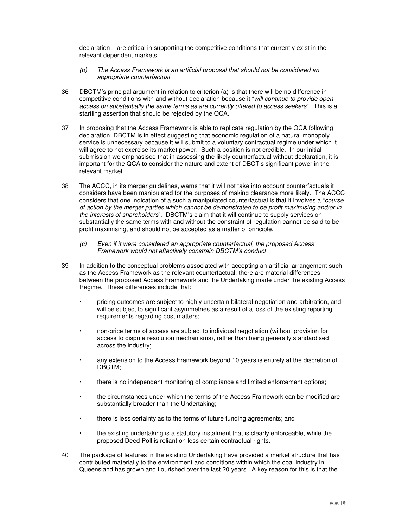declaration – are critical in supporting the competitive conditions that currently exist in the relevant dependent markets.

- (b) The Access Framework is an artificial proposal that should not be considered an appropriate counterfactual
- 36 DBCTM's principal argument in relation to criterion (a) is that there will be no difference in competitive conditions with and without declaration because it "will continue to provide open access on substantially the same terms as are currently offered to access seekers". This is a startling assertion that should be rejected by the QCA.
- 37 In proposing that the Access Framework is able to replicate regulation by the QCA following declaration, DBCTM is in effect suggesting that economic regulation of a natural monopoly service is unnecessary because it will submit to a voluntary contractual regime under which it will agree to not exercise its market power. Such a position is not credible. In our initial submission we emphasised that in assessing the likely counterfactual without declaration, it is important for the QCA to consider the nature and extent of DBCT's significant power in the relevant market.
- 38 The ACCC, in its merger guidelines, warns that it will not take into account counterfactuals it considers have been manipulated for the purposes of making clearance more likely. The ACCC considers that one indication of a such a manipulated counterfactual is that it involves a "course of action by the merger parties which cannot be demonstrated to be profit maximising and/or in the interests of shareholders". DBCTM's claim that it will continue to supply services on substantially the same terms with and without the constraint of regulation cannot be said to be profit maximising, and should not be accepted as a matter of principle.
	- (c) Even if it were considered an appropriate counterfactual, the proposed Access Framework would not effectively constrain DBCTM's conduct
- 39 In addition to the conceptual problems associated with accepting an artificial arrangement such as the Access Framework as the relevant counterfactual, there are material differences between the proposed Access Framework and the Undertaking made under the existing Access Regime. These differences include that:
	- pricing outcomes are subject to highly uncertain bilateral negotiation and arbitration, and will be subject to significant asymmetries as a result of a loss of the existing reporting requirements regarding cost matters;
	- non-price terms of access are subject to individual negotiation (without provision for access to dispute resolution mechanisms), rather than being generally standardised across the industry;
	- any extension to the Access Framework beyond 10 years is entirely at the discretion of DBCTM;
	- there is no independent monitoring of compliance and limited enforcement options;
	- the circumstances under which the terms of the Access Framework can be modified are substantially broader than the Undertaking;
	- there is less certainty as to the terms of future funding agreements; and
	- the existing undertaking is a statutory instalment that is clearly enforceable, while the proposed Deed Poll is reliant on less certain contractual rights.
- 40 The package of features in the existing Undertaking have provided a market structure that has contributed materially to the environment and conditions within which the coal industry in Queensland has grown and flourished over the last 20 years. A key reason for this is that the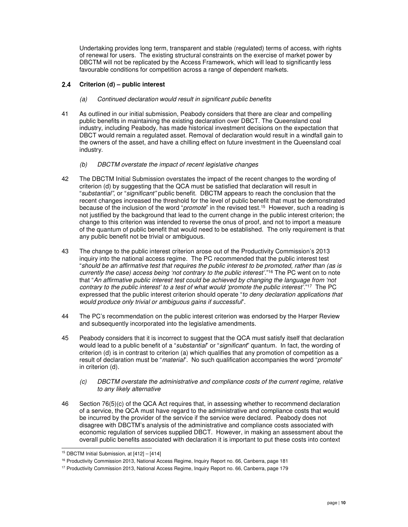Undertaking provides long term, transparent and stable (regulated) terms of access, with rights of renewal for users. The existing structural constraints on the exercise of market power by DBCTM will not be replicated by the Access Framework, which will lead to significantly less favourable conditions for competition across a range of dependent markets.

#### **Criterion (d) – public interest**

- (a) Continued declaration would result in significant public benefits
- 41 As outlined in our initial submission, Peabody considers that there are clear and compelling public benefits in maintaining the existing declaration over DBCT. The Queensland coal industry, including Peabody, has made historical investment decisions on the expectation that DBCT would remain a regulated asset. Removal of declaration would result in a windfall gain to the owners of the asset, and have a chilling effect on future investment in the Queensland coal industry.
	- (b) DBCTM overstate the impact of recent legislative changes
- 42 The DBCTM Initial Submission overstates the impact of the recent changes to the wording of criterion (d) by suggesting that the QCA must be satisfied that declaration will result in "substantial", or "significant" public benefit. DBCTM appears to reach the conclusion that the recent changes increased the threshold for the level of public benefit that must be demonstrated because of the inclusion of the word "promote" in the revised test.<sup>15</sup> However, such a reading is not justified by the background that lead to the current change in the public interest criterion; the change to this criterion was intended to reverse the onus of proof, and not to import a measure of the quantum of public benefit that would need to be established. The only requirement is that any public benefit not be trivial or ambiguous.
- 43 The change to the public interest criterion arose out of the Productivity Commission's 2013 inquiry into the national access regime. The PC recommended that the public interest test "should be an affirmative test that requires the public interest to be promoted, rather than (as is currently the case) access being 'not contrary to the public interest'."<sup>16</sup> The PC went on to note that "An affirmative public interest test could be achieved by changing the language from 'not contrary to the public interest' to a test of what would 'promote the public interest'." <sup>17</sup> The PC expressed that the public interest criterion should operate "to deny declaration applications that would produce only trivial or ambiguous gains if successful".
- 44 The PC's recommendation on the public interest criterion was endorsed by the Harper Review and subsequently incorporated into the legislative amendments.
- 45 Peabody considers that it is incorrect to suggest that the QCA must satisfy itself that declaration would lead to a public benefit of a "*substantial*" or "*significant*" quantum. In fact, the wording of criterion (d) is in contrast to criterion (a) which qualifies that any promotion of competition as a result of declaration must be "*material*". No such qualification accompanies the word "*promote*" in criterion (d).
	- (c) DBCTM overstate the administrative and compliance costs of the current regime, relative to any likely alternative
- 46 Section 76(5)(c) of the QCA Act requires that, in assessing whether to recommend declaration of a service, the QCA must have regard to the administrative and compliance costs that would be incurred by the provider of the service if the service were declared. Peabody does not disagree with DBCTM's analysis of the administrative and compliance costs associated with economic regulation of services supplied DBCT. However, in making an assessment about the overall public benefits associated with declaration it is important to put these costs into context

 $\overline{a}$ <sup>15</sup> DBCTM Initial Submission, at [412] – [414]

<sup>16</sup> Productivity Commission 2013, National Access Regime, Inquiry Report no. 66, Canberra, page 181

<sup>17</sup> Productivity Commission 2013, National Access Regime, Inquiry Report no. 66, Canberra, page 179